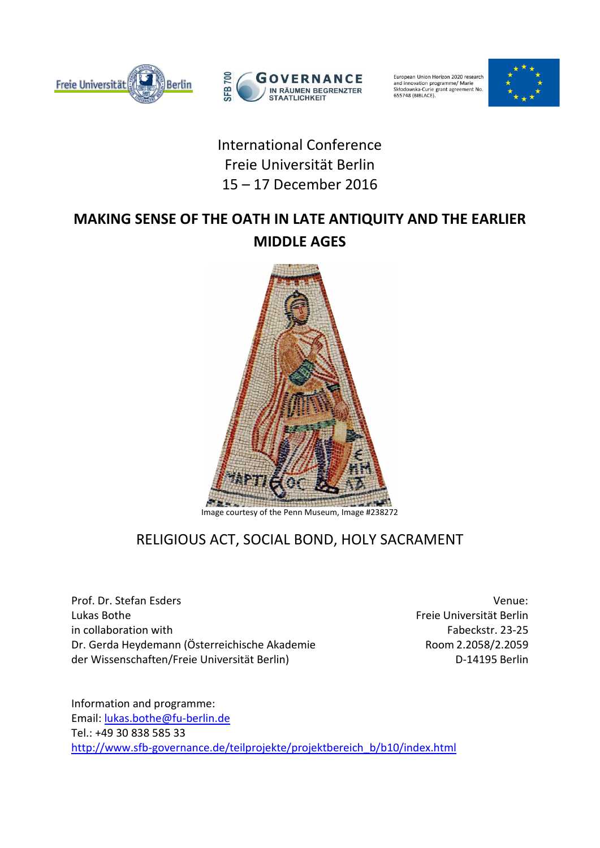



European Union Horizon 2020 research<br>and innovation programme/ Marie<br>Skłodowska-Curie grant agreement No. 655748 (BIBLACE)



## International Conference Freie Universität Berlin 15 – 17 December 2016

# **MAKING SENSE OF THE OATH IN LATE ANTIQUITY AND THE EARLIER MIDDLE AGES**



Image courtesy of the Penn Museum, Image #238272

## RELIGIOUS ACT, SOCIAL BOND, HOLY SACRAMENT

Prof. Dr. Stefan Esders Venue: Lukas Bothe Freie Universität Berlin in collaboration with Fabeckstr. 23-25 Dr. Gerda Heydemann (Österreichische Akademie Room 2.2058/2.2059 der Wissenschaften/Freie Universität Berlin) der Wissenschaften/Freie Universität Berlin

Information and programme: Email: [lukas.bothe@fu-berlin.de](mailto:lukas.bothe@fu-berlin.de) Tel.: +49 30 838 585 33 [http://www.sfb-governance.de/teilprojekte/projektbereich\\_b/b10/index.html](http://www.sfb-governance.de/teilprojekte/projektbereich_b/b10/index.html)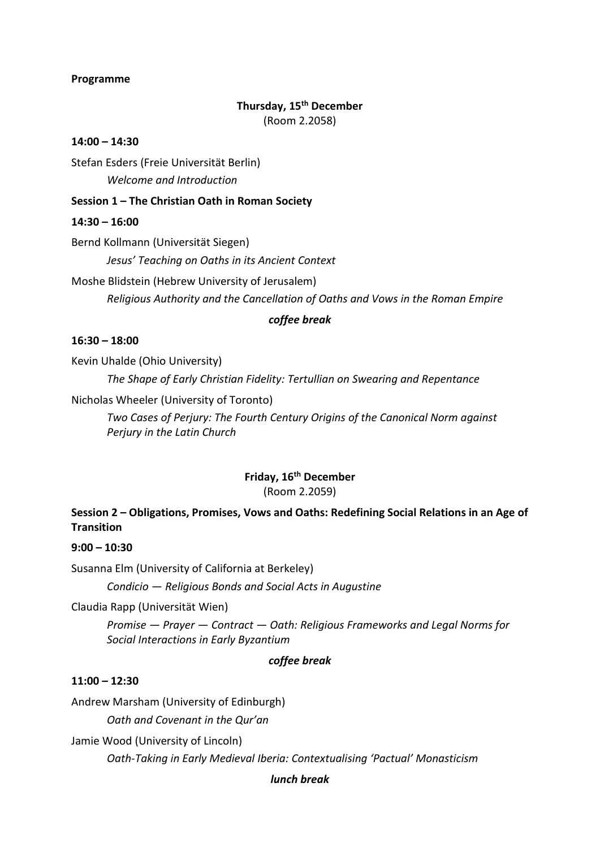#### **Programme**

## **Thursday, 15th December** (Room 2.2058)

#### **14:00 – 14:30**

Stefan Esders (Freie Universität Berlin)

*Welcome and Introduction*

## **Session 1 – The Christian Oath in Roman Society**

## **14:30 – 16:00**

Bernd Kollmann (Universität Siegen)

*Jesus' Teaching on Oaths in its Ancient Context*

Moshe Blidstein (Hebrew University of Jerusalem)

*Religious Authority and the Cancellation of Oaths and Vows in the Roman Empire*

#### *coffee break*

## **16:30 – 18:00**

Kevin Uhalde (Ohio University)

*The Shape of Early Christian Fidelity: Tertullian on Swearing and Repentance*

Nicholas Wheeler (University of Toronto)

*Two Cases of Perjury: The Fourth Century Origins of the Canonical Norm against Perjury in the Latin Church*

## **Friday, 16th December** (Room 2.2059)

## **Session 2 – Obligations, Promises, Vows and Oaths: Redefining Social Relations in an Age of Transition**

## **9:00 – 10:30**

Susanna Elm (University of California at Berkeley)

*Condicio — Religious Bonds and Social Acts in Augustine*

Claudia Rapp (Universität Wien)

*Promise — Prayer — Contract — Oath: Religious Frameworks and Legal Norms for Social Interactions in Early Byzantium*

## *coffee break*

## **11:00 – 12:30**

Andrew Marsham (University of Edinburgh) *Oath and Covenant in the Qur'an*

Jamie Wood (University of Lincoln)

*Oath-Taking in Early Medieval Iberia: Contextualising 'Pactual' Monasticism*

#### *lunch break*